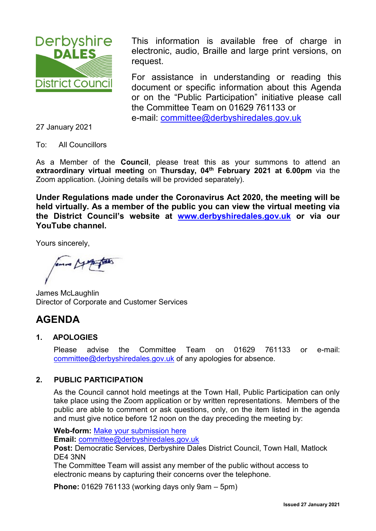

This information is available free of charge in electronic, audio, Braille and large print versions, on request.

For assistance in understanding or reading this document or specific information about this Agenda or on the "Public Participation" initiative please call the Committee Team on 01629 761133 or e-mail: [committee@derbyshiredales.gov.uk](mailto:committee@derbyshiredales.gov.uk)

27 January 2021

To: All Councillors

As a Member of the **Council**, please treat this as your summons to attend an **extraordinary virtual meeting** on **Thursday, 04th February 2021 at 6.00pm** via the Zoom application. (Joining details will be provided separately).

**Under Regulations made under the Coronavirus Act 2020, the meeting will be held virtually. As a member of the public you can view the virtual meeting via the District Council's website at [www.derbyshiredales.gov.uk](http://www.derbyshiredales.gov.uk/) or via our YouTube channel.**

Yours sincerely,

James McLaughlin Director of Corporate and Customer Services

# **AGENDA**

## **1. APOLOGIES**

Please advise the Committee Team on 01629 761133 or e-mail: [committee@derbyshiredales.gov.uk](mailto:committee@derbyshiredales.gov.uk) of any apologies for absence.

## **2. PUBLIC PARTICIPATION**

As the Council cannot hold meetings at the Town Hall, Public Participation can only take place using the Zoom application or by written representations. Members of the public are able to comment or ask questions, only, on the item listed in the agenda and must give notice before 12 noon on the day preceding the meeting by:

**Web-form:** [Make your submission here](https://selfserve.derbyshiredales.gov.uk/renderform.aspx?t=44&k=FD9C9FA7E89B415C3D4899DDD5D88649E55277F1)

**Email:** [committee@derbyshiredales.gov.uk](mailto:committee@derbyshiredales.gov.uk)

**Post:** Democratic Services, Derbyshire Dales District Council, Town Hall, Matlock DE4 3NN

The Committee Team will assist any member of the public without access to electronic means by capturing their concerns over the telephone.

**Phone:** 01629 761133 (working days only 9am – 5pm)